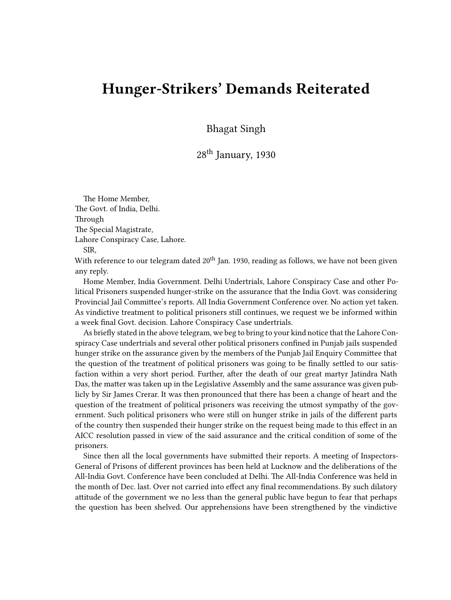## **Hunger-Strikers' Demands Reiterated**

Bhagat Singh

28th January, 1930

The Home Member, The Govt. of India, Delhi. Through The Special Magistrate, Lahore Conspiracy Case, Lahore. SIR,

With reference to our telegram dated  $20<sup>th</sup>$  Jan. 1930, reading as follows, we have not been given any reply.

Home Member, India Government. Delhi Undertrials, Lahore Conspiracy Case and other Political Prisoners suspended hunger-strike on the assurance that the India Govt. was considering Provincial Jail Committee's reports. All India Government Conference over. No action yet taken. As vindictive treatment to political prisoners still continues, we request we be informed within a week final Govt. decision. Lahore Conspiracy Case undertrials.

As briefly stated in the above telegram, we beg to bring to your kind notice that the Lahore Conspiracy Case undertrials and several other political prisoners confined in Punjab jails suspended hunger strike on the assurance given by the members of the Punjab Jail Enquiry Committee that the question of the treatment of political prisoners was going to be finally settled to our satisfaction within a very short period. Further, after the death of our great martyr Jatindra Nath Das, the matter was taken up in the Legislative Assembly and the same assurance was given publicly by Sir James Crerar. It was then pronounced that there has been a change of heart and the question of the treatment of political prisoners was receiving the utmost sympathy of the government. Such political prisoners who were still on hunger strike in jails of the different parts of the country then suspended their hunger strike on the request being made to this effect in an AICC resolution passed in view of the said assurance and the critical condition of some of the prisoners.

Since then all the local governments have submitted their reports. A meeting of Inspectors-General of Prisons of different provinces has been held at Lucknow and the deliberations of the All-India Govt. Conference have been concluded at Delhi. The All-India Conference was held in the month of Dec. last. Over not carried into effect any final recommendations. By such dilatory attitude of the government we no less than the general public have begun to fear that perhaps the question has been shelved. Our apprehensions have been strengthened by the vindictive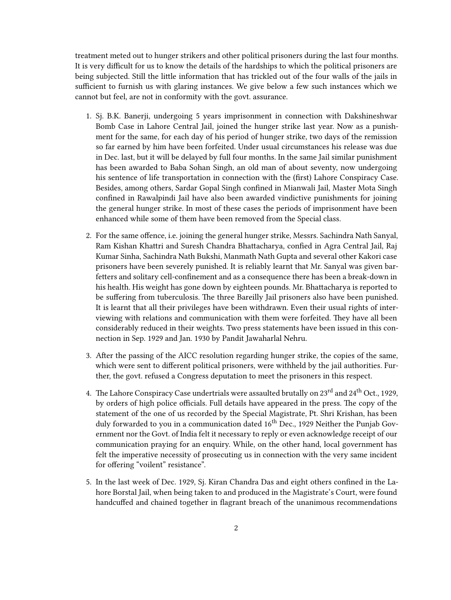treatment meted out to hunger strikers and other political prisoners during the last four months. It is very difficult for us to know the details of the hardships to which the political prisoners are being subjected. Still the little information that has trickled out of the four walls of the jails in sufficient to furnish us with glaring instances. We give below a few such instances which we cannot but feel, are not in conformity with the govt. assurance.

- 1. Sj. B.K. Banerji, undergoing 5 years imprisonment in connection with Dakshineshwar Bomb Case in Lahore Central Jail, joined the hunger strike last year. Now as a punishment for the same, for each day of his period of hunger strike, two days of the remission so far earned by him have been forfeited. Under usual circumstances his release was due in Dec. last, but it will be delayed by full four months. In the same Jail similar punishment has been awarded to Baba Sohan Singh, an old man of about seventy, now undergoing his sentence of life transportation in connection with the (first) Lahore Conspiracy Case. Besides, among others, Sardar Gopal Singh confined in Mianwali Jail, Master Mota Singh confined in Rawalpindi Jail have also been awarded vindictive punishments for joining the general hunger strike. In most of these cases the periods of imprisonment have been enhanced while some of them have been removed from the Special class.
- 2. For the same offence, i.e. joining the general hunger strike, Messrs. Sachindra Nath Sanyal, Ram Kishan Khattri and Suresh Chandra Bhattacharya, confied in Agra Central Jail, Raj Kumar Sinha, Sachindra Nath Bukshi, Manmath Nath Gupta and several other Kakori case prisoners have been severely punished. It is reliably learnt that Mr. Sanyal was given barfetters and solitary cell-confinement and as a consequence there has been a break-down in his health. His weight has gone down by eighteen pounds. Mr. Bhattacharya is reported to be suffering from tuberculosis. The three Bareilly Jail prisoners also have been punished. It is learnt that all their privileges have been withdrawn. Even their usual rights of interviewing with relations and communication with them were forfeited. They have all been considerably reduced in their weights. Two press statements have been issued in this connection in Sep. 1929 and Jan. 1930 by Pandit Jawaharlal Nehru.
- 3. After the passing of the AICC resolution regarding hunger strike, the copies of the same, which were sent to different political prisoners, were withheld by the jail authorities. Further, the govt. refused a Congress deputation to meet the prisoners in this respect.
- 4. The Lahore Conspiracy Case undertrials were assaulted brutally on 23<sup>rd</sup> and 24<sup>th</sup> Oct., 1929, by orders of high police officials. Full details have appeared in the press. The copy of the statement of the one of us recorded by the Special Magistrate, Pt. Shri Krishan, has been duly forwarded to you in a communication dated 16<sup>th</sup> Dec., 1929 Neither the Punjab Government nor the Govt. of India felt it necessary to reply or even acknowledge receipt of our communication praying for an enquiry. While, on the other hand, local government has felt the imperative necessity of prosecuting us in connection with the very same incident for offering "voilent" resistance".
- 5. In the last week of Dec. 1929, Sj. Kiran Chandra Das and eight others confined in the Lahore Borstal Jail, when being taken to and produced in the Magistrate's Court, were found handcuffed and chained together in flagrant breach of the unanimous recommendations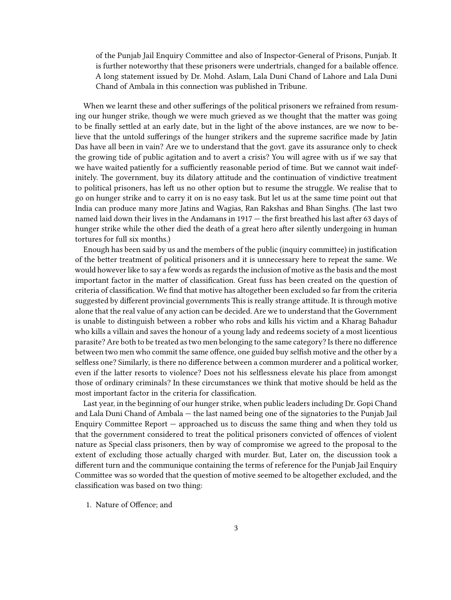of the Punjab Jail Enquiry Committee and also of Inspector-General of Prisons, Punjab. It is further noteworthy that these prisoners were undertrials, changed for a bailable offence. A long statement issued by Dr. Mohd. Aslam, Lala Duni Chand of Lahore and Lala Duni Chand of Ambala in this connection was published in Tribune.

When we learnt these and other sufferings of the political prisoners we refrained from resuming our hunger strike, though we were much grieved as we thought that the matter was going to be finally settled at an early date, but in the light of the above instances, are we now to believe that the untold sufferings of the hunger strikers and the supreme sacrifice made by Jatin Das have all been in vain? Are we to understand that the govt. gave its assurance only to check the growing tide of public agitation and to avert a crisis? You will agree with us if we say that we have waited patiently for a sufficiently reasonable period of time. But we cannot wait indefinitely. The government, buy its dilatory attitude and the continuation of vindictive treatment to political prisoners, has left us no other option but to resume the struggle. We realise that to go on hunger strike and to carry it on is no easy task. But let us at the same time point out that India can produce many more Jatins and Wagias, Ran Rakshas and Bhan Singhs. (The last two named laid down their lives in the Andamans in 1917 — the first breathed his last after 63 days of hunger strike while the other died the death of a great hero after silently undergoing in human tortures for full six months.)

Enough has been said by us and the members of the public (inquiry committee) in justification of the better treatment of political prisoners and it is unnecessary here to repeat the same. We would however like to say a few words as regards the inclusion of motive as the basis and the most important factor in the matter of classification. Great fuss has been created on the question of criteria of classification. We find that motive has altogether been excluded so far from the criteria suggested by different provincial governments This is really strange attitude. It is through motive alone that the real value of any action can be decided. Are we to understand that the Government is unable to distinguish between a robber who robs and kills his victim and a Kharag Bahadur who kills a villain and saves the honour of a young lady and redeems society of a most licentious parasite? Are both to be treated as two men belonging to the same category? Is there no difference between two men who commit the same offence, one guided buy selfish motive and the other by a selfless one? Similarly, is there no difference between a common murderer and a political worker, even if the latter resorts to violence? Does not his selflessness elevate his place from amongst those of ordinary criminals? In these circumstances we think that motive should be held as the most important factor in the criteria for classification.

Last year, in the beginning of our hunger strike, when public leaders including Dr. Gopi Chand and Lala Duni Chand of Ambala — the last named being one of the signatories to the Punjab Jail Enquiry Committee Report — approached us to discuss the same thing and when they told us that the government considered to treat the political prisoners convicted of offences of violent nature as Special class prisoners, then by way of compromise we agreed to the proposal to the extent of excluding those actually charged with murder. But, Later on, the discussion took a different turn and the communique containing the terms of reference for the Punjab Jail Enquiry Committee was so worded that the question of motive seemed to be altogether excluded, and the classification was based on two thing:

1. Nature of Offence; and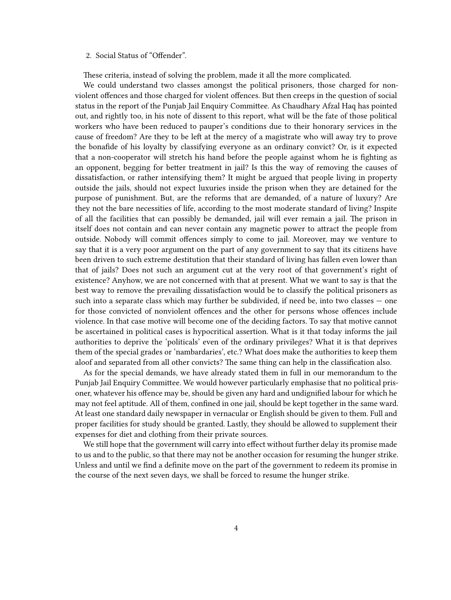## 2. Social Status of "Offender".

These criteria, instead of solving the problem, made it all the more complicated.

We could understand two classes amongst the political prisoners, those charged for nonviolent offences and those charged for violent offences. But then creeps in the question of social status in the report of the Punjab Jail Enquiry Committee. As Chaudhary Afzal Haq has pointed out, and rightly too, in his note of dissent to this report, what will be the fate of those political workers who have been reduced to pauper's conditions due to their honorary services in the cause of freedom? Are they to be left at the mercy of a magistrate who will away try to prove the bonafide of his loyalty by classifying everyone as an ordinary convict? Or, is it expected that a non-cooperator will stretch his hand before the people against whom he is fighting as an opponent, begging for better treatment in jail? Is this the way of removing the causes of dissatisfaction, or rather intensifying them? It might be argued that people living in property outside the jails, should not expect luxuries inside the prison when they are detained for the purpose of punishment. But, are the reforms that are demanded, of a nature of luxury? Are they not the bare necessities of life, according to the most moderate standard of living? Inspite of all the facilities that can possibly be demanded, jail will ever remain a jail. The prison in itself does not contain and can never contain any magnetic power to attract the people from outside. Nobody will commit offences simply to come to jail. Moreover, may we venture to say that it is a very poor argument on the part of any government to say that its citizens have been driven to such extreme destitution that their standard of living has fallen even lower than that of jails? Does not such an argument cut at the very root of that government's right of existence? Anyhow, we are not concerned with that at present. What we want to say is that the best way to remove the prevailing dissatisfaction would be to classify the political prisoners as such into a separate class which may further be subdivided, if need be, into two classes — one for those convicted of nonviolent offences and the other for persons whose offences include violence. In that case motive will become one of the deciding factors. To say that motive cannot be ascertained in political cases is hypocritical assertion. What is it that today informs the jail authorities to deprive the 'politicals' even of the ordinary privileges? What it is that deprives them of the special grades or 'nambardaries', etc.? What does make the authorities to keep them aloof and separated from all other convicts? The same thing can help in the classification also.

As for the special demands, we have already stated them in full in our memorandum to the Punjab Jail Enquiry Committee. We would however particularly emphasise that no political prisoner, whatever his offence may be, should be given any hard and undignified labour for which he may not feel aptitude. All of them, confined in one jail, should be kept together in the same ward. At least one standard daily newspaper in vernacular or English should be given to them. Full and proper facilities for study should be granted. Lastly, they should be allowed to supplement their expenses for diet and clothing from their private sources.

We still hope that the government will carry into effect without further delay its promise made to us and to the public, so that there may not be another occasion for resuming the hunger strike. Unless and until we find a definite move on the part of the government to redeem its promise in the course of the next seven days, we shall be forced to resume the hunger strike.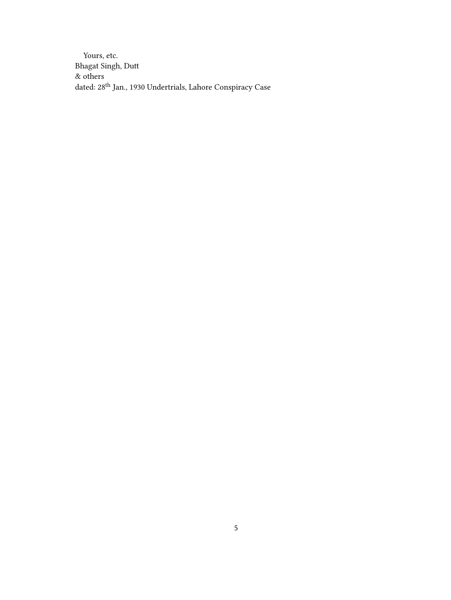Yours, etc. Bhagat Singh, Dutt & others dated:  $28^{\rm th}$ Jan., 1930<br> Under<br/>trials, Lahore Conspiracy Case